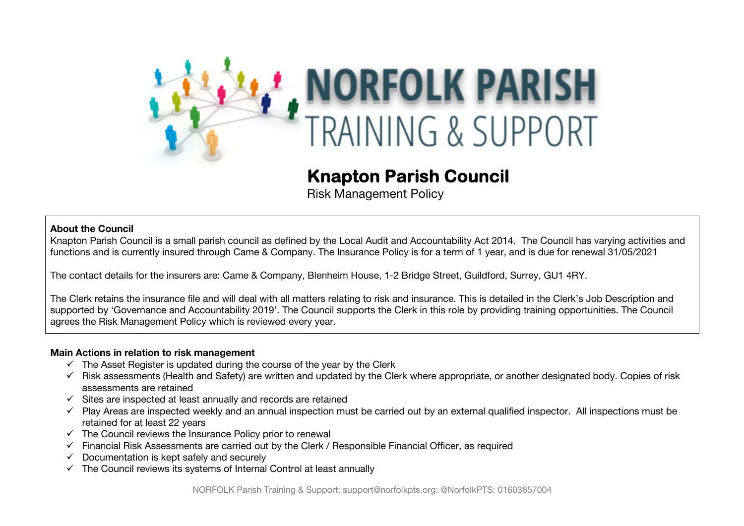

# **Knapton Parish Council**

Risk Management Policy

### **About the Council**

Knapton Parish Council is a small parish council as defined by the Local Audit and Accountability Act 2014. The Council has varying activities and functions and is currently insured through Came & Company. The Insurance Policy is for a term of 1 year, and is due for renewal 31/05/2021

The contact details for the insurers are: Came & Company, Blenheim House, 1-2 Bridge Street, Guildford, Surrey, GU1 4RY.

The Clerk retains the insurance file and will deal with all matters relating to risk and insurance. This is detailed in the Clerk's Job Description and supported by 'Governance and Accountability 2019'. The Council supports the Clerk in this role by providing training opportunities. The Council agrees the Risk Management Policy which is reviewed every year.

#### **Main Actions in relation to risk management**

- $\checkmark$  The Asset Register is updated during the course of the year by the Clerk
- $\checkmark$  Risk assessments (Health and Safety) are written and updated by the Clerk where appropriate, or another designated body. Copies of risk assessments are retained
- $\checkmark$  Sites are inspected at least annually and records are retained
- $\checkmark$  Play Areas are inspected weekly and an annual inspection must be carried out by an external qualified inspector. All inspections must be retained for at least 22 years
- $\checkmark$  The Council reviews the Insurance Policy prior to renewal
- $\checkmark$  Financial Risk Assessments are carried out by the Clerk / Responsible Financial Officer, as required
- $\checkmark$  Documentation is kept safely and securely
- $\checkmark$  The Council reviews its systems of Internal Control at least annually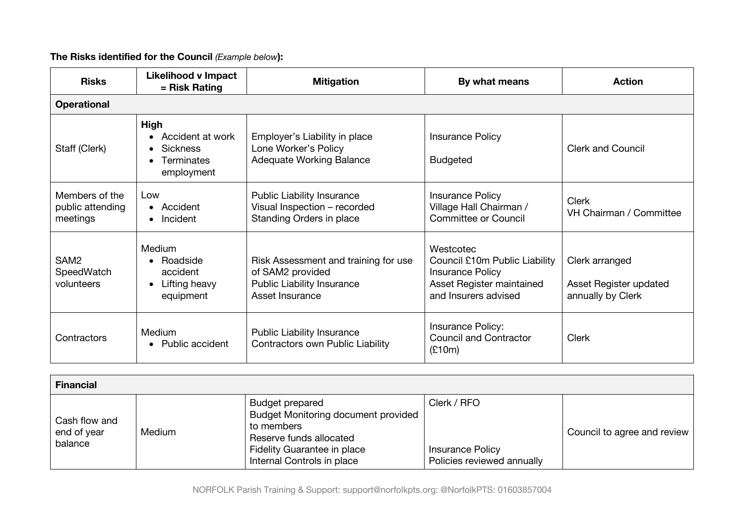# **The Risks identified for the Council** *(Example below***):**

| <b>Risks</b>                                   | <b>Likelihood v Impact</b><br>= Risk Rating                         | <b>Mitigation</b>                                                                                                | By what means                                                                                                       | <b>Action</b>                                                 |  |  |  |
|------------------------------------------------|---------------------------------------------------------------------|------------------------------------------------------------------------------------------------------------------|---------------------------------------------------------------------------------------------------------------------|---------------------------------------------------------------|--|--|--|
| <b>Operational</b>                             |                                                                     |                                                                                                                  |                                                                                                                     |                                                               |  |  |  |
| Staff (Clerk)                                  | High<br>Accident at work<br>Sickness<br>Terminates<br>employment    | Employer's Liability in place<br>Lone Worker's Policy<br><b>Adequate Working Balance</b>                         | <b>Insurance Policy</b><br><b>Budgeted</b>                                                                          | <b>Clerk and Council</b>                                      |  |  |  |
| Members of the<br>public attending<br>meetings | Low<br>• Accident<br>Incident<br>$\bullet$                          | <b>Public Liability Insurance</b><br>Visual Inspection - recorded<br>Standing Orders in place                    | <b>Insurance Policy</b><br>Village Hall Chairman /<br><b>Committee or Council</b>                                   | <b>Clerk</b><br>VH Chairman / Committee                       |  |  |  |
| SAM <sub>2</sub><br>SpeedWatch<br>volunteers   | <b>Medium</b><br>Roadside<br>accident<br>Lifting heavy<br>equipment | Risk Assessment and training for use<br>of SAM2 provided<br><b>Public Liability Insurance</b><br>Asset Insurance | Westcotec<br>Council £10m Public Liability<br>Insurance Policy<br>Asset Register maintained<br>and Insurers advised | Clerk arranged<br>Asset Register updated<br>annually by Clerk |  |  |  |
| Contractors                                    | Medium<br>Public accident                                           | <b>Public Liability Insurance</b><br><b>Contractors own Public Liability</b>                                     | Insurance Policy:<br><b>Council and Contractor</b><br>(E10m)                                                        | <b>Clerk</b>                                                  |  |  |  |

| <b>Financial</b>                        |        |                                                                                                                                                                     |                                                                      |                             |  |  |  |
|-----------------------------------------|--------|---------------------------------------------------------------------------------------------------------------------------------------------------------------------|----------------------------------------------------------------------|-----------------------------|--|--|--|
| Cash flow and<br>end of year<br>balance | Medium | Budget prepared<br><b>Budget Monitoring document provided</b><br>to members<br>Reserve funds allocated<br>Fidelity Guarantee in place<br>Internal Controls in place | Clerk / RFO<br><b>Insurance Policy</b><br>Policies reviewed annually | Council to agree and review |  |  |  |